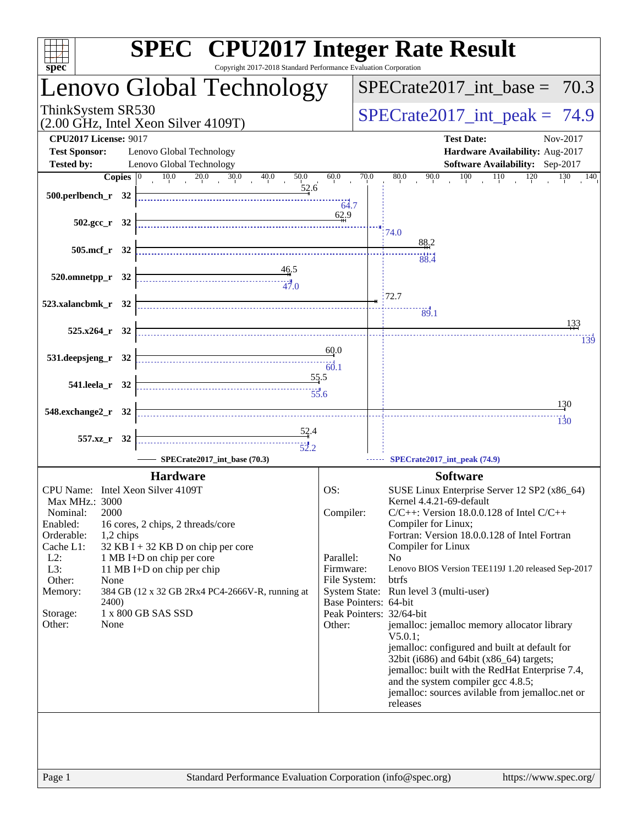| spec <sup>®</sup>                                                       | <b>SPEC<sup>®</sup></b> CPU2017 Integer Rate Result<br>Copyright 2017-2018 Standard Performance Evaluation Corporation                                                                                                                                                                                                                                                                                                                                                                                                                                                |                                       |                                  |                                                                                                                                                      |  |  |  |
|-------------------------------------------------------------------------|-----------------------------------------------------------------------------------------------------------------------------------------------------------------------------------------------------------------------------------------------------------------------------------------------------------------------------------------------------------------------------------------------------------------------------------------------------------------------------------------------------------------------------------------------------------------------|---------------------------------------|----------------------------------|------------------------------------------------------------------------------------------------------------------------------------------------------|--|--|--|
|                                                                         | Lenovo Global Technology                                                                                                                                                                                                                                                                                                                                                                                                                                                                                                                                              |                                       |                                  | $SPECTate2017\_int\_base = 70.3$                                                                                                                     |  |  |  |
| ThinkSystem SR530                                                       | (2.00 GHz, Intel Xeon Silver 4109T)                                                                                                                                                                                                                                                                                                                                                                                                                                                                                                                                   |                                       | $SPECrate2017\_int\_peak = 74.9$ |                                                                                                                                                      |  |  |  |
| <b>CPU2017 License: 9017</b><br><b>Test Sponsor:</b>                    | Lenovo Global Technology                                                                                                                                                                                                                                                                                                                                                                                                                                                                                                                                              |                                       |                                  | <b>Test Date:</b><br>Nov-2017<br>Hardware Availability: Aug-2017                                                                                     |  |  |  |
| <b>Tested by:</b>                                                       | Lenovo Global Technology                                                                                                                                                                                                                                                                                                                                                                                                                                                                                                                                              |                                       |                                  | <b>Software Availability:</b> Sep-2017                                                                                                               |  |  |  |
| Copies $ 0\rangle$<br>500.perlbench_r 32                                | $10.0$ $20.0$ $30.0$ $40.0$<br>50.0<br>52.6                                                                                                                                                                                                                                                                                                                                                                                                                                                                                                                           | 60.0<br>64.7                          | 70.0                             | $\frac{90.0}{10}$ 100 110 120 130 140<br>80.0                                                                                                        |  |  |  |
| 502.gcc_r 32                                                            |                                                                                                                                                                                                                                                                                                                                                                                                                                                                                                                                                                       | 62.9                                  |                                  | 74.0                                                                                                                                                 |  |  |  |
| 505.mcf r 32                                                            |                                                                                                                                                                                                                                                                                                                                                                                                                                                                                                                                                                       |                                       |                                  | 88.2<br>88.4                                                                                                                                         |  |  |  |
| $520.0$ mnetpp_r $32$                                                   | $\frac{46.5}{4}$                                                                                                                                                                                                                                                                                                                                                                                                                                                                                                                                                      |                                       |                                  |                                                                                                                                                      |  |  |  |
| 523.xalancbmk_r 32                                                      |                                                                                                                                                                                                                                                                                                                                                                                                                                                                                                                                                                       |                                       |                                  | 172.7                                                                                                                                                |  |  |  |
|                                                                         |                                                                                                                                                                                                                                                                                                                                                                                                                                                                                                                                                                       |                                       |                                  | $\overline{89.1}$<br>133                                                                                                                             |  |  |  |
| $525.x264$ r 32                                                         |                                                                                                                                                                                                                                                                                                                                                                                                                                                                                                                                                                       |                                       |                                  | 139                                                                                                                                                  |  |  |  |
| 531.deepsjeng_r 32                                                      | $\begin{array}{c c c c c} \hline \rule{0mm}{4mm} & & \multicolumn{3}{c }{\textbf{\textcolor{blue}{\bf \textcolor{blue}{\bf \textcolor{blue}{\bf \textcolor{blue}{\bf \textcolor{blue}{\bf \textcolor{blue}{\bf \textcolor{blue}{\bf \textcolor{blue}{\bf \textcolor{blue}{\bf \textcolor{blue}{\bf \textcolor{blue}{\bf \textcolor{blue}{\bf \textcolor{blue}{\bf \textcolor{blue}{\bf \textcolor{blue}{\bf \textcolor{blue}{\bf \textcolor{blue}{\bf \textcolor{blue}{\bf \textcolor{blue}{\bf \textcolor{blue}{\bf \textcolor{blue}{\bf \textcolor{blue}{\bf \text$ | 60.0                                  |                                  |                                                                                                                                                      |  |  |  |
| 541.leela_r 32                                                          | 55.5                                                                                                                                                                                                                                                                                                                                                                                                                                                                                                                                                                  |                                       |                                  |                                                                                                                                                      |  |  |  |
| 548.exchange2_r 32                                                      |                                                                                                                                                                                                                                                                                                                                                                                                                                                                                                                                                                       |                                       |                                  | <u>130</u><br>130                                                                                                                                    |  |  |  |
| 557.xz_r 32                                                             | $\frac{52.4}{5}$                                                                                                                                                                                                                                                                                                                                                                                                                                                                                                                                                      |                                       |                                  |                                                                                                                                                      |  |  |  |
|                                                                         | SPECrate2017_int_base (70.3)                                                                                                                                                                                                                                                                                                                                                                                                                                                                                                                                          |                                       |                                  | SPECrate2017_int_peak (74.9)                                                                                                                         |  |  |  |
|                                                                         | <b>Hardware</b>                                                                                                                                                                                                                                                                                                                                                                                                                                                                                                                                                       |                                       |                                  | <b>Software</b>                                                                                                                                      |  |  |  |
| CPU Name: Intel Xeon Silver 4109T<br>Max MHz.: 3000<br>2000<br>Nominal: |                                                                                                                                                                                                                                                                                                                                                                                                                                                                                                                                                                       | OS:<br>Compiler:                      |                                  | SUSE Linux Enterprise Server 12 SP2 (x86_64)<br>Kernel 4.4.21-69-default<br>$C/C++$ : Version 18.0.0.128 of Intel $C/C++$                            |  |  |  |
| Enabled:<br>Orderable:<br>1,2 chips                                     | 16 cores, 2 chips, 2 threads/core                                                                                                                                                                                                                                                                                                                                                                                                                                                                                                                                     |                                       |                                  | Compiler for Linux;<br>Fortran: Version 18.0.0.128 of Intel Fortran                                                                                  |  |  |  |
| Cache L1:<br>$L2$ :<br>L3:                                              | 32 KB I + 32 KB D on chip per core<br>1 MB I+D on chip per core<br>11 MB I+D on chip per chip                                                                                                                                                                                                                                                                                                                                                                                                                                                                         | Parallel:<br>Firmware:                |                                  | Compiler for Linux<br>N <sub>o</sub><br>Lenovo BIOS Version TEE119J 1.20 released Sep-2017                                                           |  |  |  |
| Other:<br>None<br>Memory:<br><b>2400</b> )                              | 384 GB (12 x 32 GB 2Rx4 PC4-2666V-R, running at                                                                                                                                                                                                                                                                                                                                                                                                                                                                                                                       | File System:<br>Base Pointers: 64-bit |                                  | btrfs<br>System State: Run level 3 (multi-user)                                                                                                      |  |  |  |
| Storage:<br>Other:<br>None                                              | 1 x 800 GB SAS SSD                                                                                                                                                                                                                                                                                                                                                                                                                                                                                                                                                    | Peak Pointers: 32/64-bit<br>Other:    |                                  | jemalloc: jemalloc memory allocator library<br>$V5.0.1$ :                                                                                            |  |  |  |
|                                                                         |                                                                                                                                                                                                                                                                                                                                                                                                                                                                                                                                                                       |                                       |                                  | jemalloc: configured and built at default for<br>32bit (i686) and 64bit (x86_64) targets;                                                            |  |  |  |
|                                                                         |                                                                                                                                                                                                                                                                                                                                                                                                                                                                                                                                                                       |                                       |                                  | jemalloc: built with the RedHat Enterprise 7.4,<br>and the system compiler gcc 4.8.5;<br>jemalloc: sources avilable from jemalloc.net or<br>releases |  |  |  |
|                                                                         |                                                                                                                                                                                                                                                                                                                                                                                                                                                                                                                                                                       |                                       |                                  |                                                                                                                                                      |  |  |  |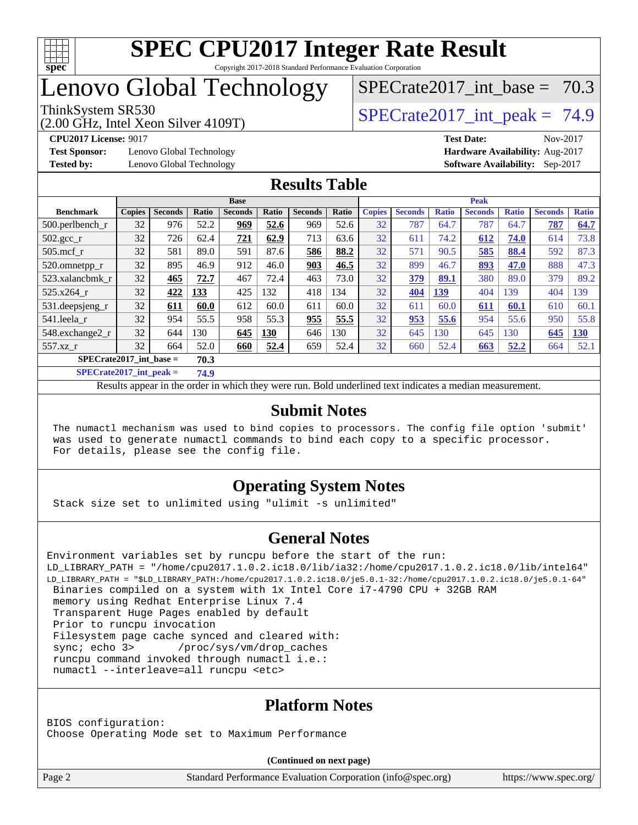

## Lenovo Global Technology

(2.00 GHz, Intel Xeon Silver 4109T)

ThinkSystem SR530<br>  $S$ PECrate2017 int peak = 74.9

SPECrate2017 int\_base =  $70.3$ 

**[Test Sponsor:](http://www.spec.org/auto/cpu2017/Docs/result-fields.html#TestSponsor)** Lenovo Global Technology **[Hardware Availability:](http://www.spec.org/auto/cpu2017/Docs/result-fields.html#HardwareAvailability)** Aug-2017

**[CPU2017 License:](http://www.spec.org/auto/cpu2017/Docs/result-fields.html#CPU2017License)** 9017 **[Test Date:](http://www.spec.org/auto/cpu2017/Docs/result-fields.html#TestDate)** Nov-2017 **[Tested by:](http://www.spec.org/auto/cpu2017/Docs/result-fields.html#Testedby)** Lenovo Global Technology **[Software Availability:](http://www.spec.org/auto/cpu2017/Docs/result-fields.html#SoftwareAvailability)** Sep-2017

#### **[Results Table](http://www.spec.org/auto/cpu2017/Docs/result-fields.html#ResultsTable)**

|                                   | <b>Base</b>   |                |       |                |              | <b>Peak</b>    |       |               |                |              |                |              |                |              |
|-----------------------------------|---------------|----------------|-------|----------------|--------------|----------------|-------|---------------|----------------|--------------|----------------|--------------|----------------|--------------|
| <b>Benchmark</b>                  | <b>Copies</b> | <b>Seconds</b> | Ratio | <b>Seconds</b> | <b>Ratio</b> | <b>Seconds</b> | Ratio | <b>Copies</b> | <b>Seconds</b> | <b>Ratio</b> | <b>Seconds</b> | <b>Ratio</b> | <b>Seconds</b> | <b>Ratio</b> |
| 500.perlbench_r                   | 32            | 976            | 52.2  | 969            | 52.6         | 969            | 52.6  | 32            | 787            | 64.7         | 787            | 64.7         | 787            | 64.7         |
| 502.gcc_r                         | 32            | 726            | 62.4  | 721            | 62.9         | 713            | 63.6  | 32            | 611            | 74.2         | 612            | 74.0         | 614            | 73.8         |
| $505$ .mcf r                      | 32            | 581            | 89.0  | 591            | 87.6         | 586            | 88.2  | 32            | 571            | 90.5         | 585            | 88.4         | 592            | 87.3         |
| 520.omnetpp_r                     | 32            | 895            | 46.9  | 912            | 46.0         | 903            | 46.5  | 32            | 899            | 46.7         | 893            | 47.0         | 888            | 47.3         |
| 523.xalancbmk r                   | 32            | 465            | 72.7  | 467            | 72.4         | 463            | 73.0  | 32            | <b>379</b>     | 89.1         | 380            | 89.0         | 379            | 89.2         |
| 525.x264 r                        | 32            | 422            | 133   | 425            | 132          | 418            | 134   | 32            | 404            | 139          | 404            | 139          | 404            | 139          |
| 531.deepsjeng_r                   | 32            | 611            | 60.0  | 612            | 60.0         | 611            | 60.0  | 32            | 611            | 60.0         | 611            | 60.1         | 610            | 60.1         |
| 541.leela r                       | 32            | 954            | 55.5  | 958            | 55.3         | 955            | 55.5  | 32            | 953            | 55.6         | 954            | 55.6         | 950            | 55.8         |
| 548.exchange2_r                   | 32            | 644            | 130   | 645            | 130          | 646            | 130   | 32            | 645            | 130          | 645            | 130          | 645            | 130          |
| 557.xz r                          | 32            | 664            | 52.0  | 660            | 52.4         | 659            | 52.4  | 32            | 660            | 52.4         | 663            | 52.2         | 664            | 52.1         |
| $SPECrate2017$ int base =<br>70.3 |               |                |       |                |              |                |       |               |                |              |                |              |                |              |

**[SPECrate2017\\_int\\_peak =](http://www.spec.org/auto/cpu2017/Docs/result-fields.html#SPECrate2017intpeak) 74.9**

Results appear in the [order in which they were run.](http://www.spec.org/auto/cpu2017/Docs/result-fields.html#RunOrder) Bold underlined text [indicates a median measurement.](http://www.spec.org/auto/cpu2017/Docs/result-fields.html#Median)

#### **[Submit Notes](http://www.spec.org/auto/cpu2017/Docs/result-fields.html#SubmitNotes)**

 The numactl mechanism was used to bind copies to processors. The config file option 'submit' was used to generate numactl commands to bind each copy to a specific processor. For details, please see the config file.

### **[Operating System Notes](http://www.spec.org/auto/cpu2017/Docs/result-fields.html#OperatingSystemNotes)**

Stack size set to unlimited using "ulimit -s unlimited"

#### **[General Notes](http://www.spec.org/auto/cpu2017/Docs/result-fields.html#GeneralNotes)**

```
Environment variables set by runcpu before the start of the run:
LD_LIBRARY_PATH = "/home/cpu2017.1.0.2.ic18.0/lib/ia32:/home/cpu2017.1.0.2.ic18.0/lib/intel64"
LD_LIBRARY_PATH = "$LD_LIBRARY_PATH:/home/cpu2017.1.0.2.ic18.0/je5.0.1-32:/home/cpu2017.1.0.2.ic18.0/je5.0.1-64"
 Binaries compiled on a system with 1x Intel Core i7-4790 CPU + 32GB RAM
 memory using Redhat Enterprise Linux 7.4
 Transparent Huge Pages enabled by default
  Prior to runcpu invocation
 Filesystem page cache synced and cleared with:
 sync; echo 3> /proc/sys/vm/drop_caches
  runcpu command invoked through numactl i.e.:
 numactl --interleave=all runcpu <etc>
```
### **[Platform Notes](http://www.spec.org/auto/cpu2017/Docs/result-fields.html#PlatformNotes)**

BIOS configuration: Choose Operating Mode set to Maximum Performance

**(Continued on next page)**

Page 2 Standard Performance Evaluation Corporation [\(info@spec.org\)](mailto:info@spec.org) <https://www.spec.org/>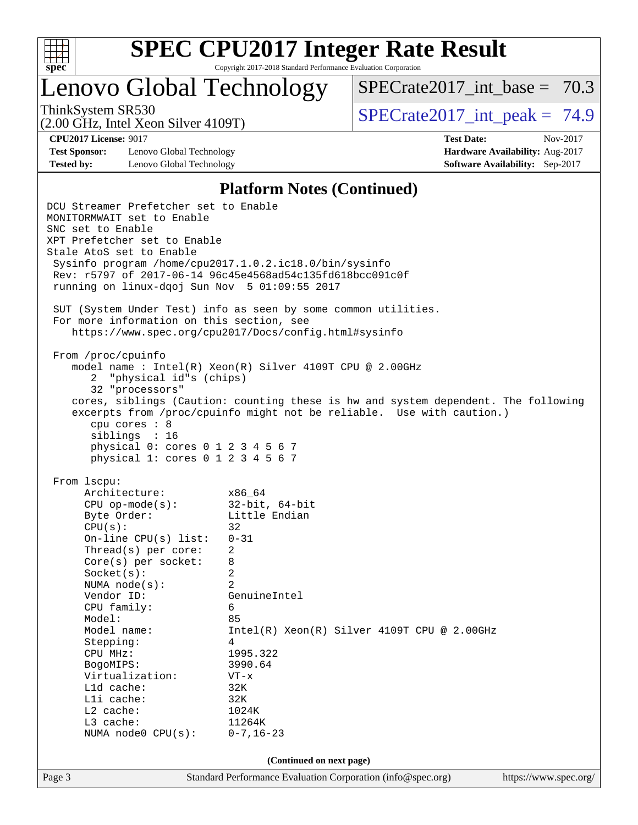

# **[SPEC CPU2017 Integer Rate Result](http://www.spec.org/auto/cpu2017/Docs/result-fields.html#SPECCPU2017IntegerRateResult)**

Copyright 2017-2018 Standard Performance Evaluation Corporation

## Lenovo Global Technology

SPECrate2017 int\_base =  $70.3$ 

(2.00 GHz, Intel Xeon Silver 4109T)

ThinkSystem SR530  $SPECrate2017$  int\_peak = 74.9

**[Test Sponsor:](http://www.spec.org/auto/cpu2017/Docs/result-fields.html#TestSponsor)** Lenovo Global Technology **[Hardware Availability:](http://www.spec.org/auto/cpu2017/Docs/result-fields.html#HardwareAvailability)** Aug-2017 **[Tested by:](http://www.spec.org/auto/cpu2017/Docs/result-fields.html#Testedby)** Lenovo Global Technology **[Software Availability:](http://www.spec.org/auto/cpu2017/Docs/result-fields.html#SoftwareAvailability)** Sep-2017

**[CPU2017 License:](http://www.spec.org/auto/cpu2017/Docs/result-fields.html#CPU2017License)** 9017 **[Test Date:](http://www.spec.org/auto/cpu2017/Docs/result-fields.html#TestDate)** Nov-2017

#### **[Platform Notes \(Continued\)](http://www.spec.org/auto/cpu2017/Docs/result-fields.html#PlatformNotes)**

Page 3 Standard Performance Evaluation Corporation [\(info@spec.org\)](mailto:info@spec.org) <https://www.spec.org/> DCU Streamer Prefetcher set to Enable MONITORMWAIT set to Enable SNC set to Enable XPT Prefetcher set to Enable Stale AtoS set to Enable Sysinfo program /home/cpu2017.1.0.2.ic18.0/bin/sysinfo Rev: r5797 of 2017-06-14 96c45e4568ad54c135fd618bcc091c0f running on linux-dqoj Sun Nov 5 01:09:55 2017 SUT (System Under Test) info as seen by some common utilities. For more information on this section, see <https://www.spec.org/cpu2017/Docs/config.html#sysinfo> From /proc/cpuinfo model name : Intel(R) Xeon(R) Silver 4109T CPU @ 2.00GHz 2 "physical id"s (chips) 32 "processors" cores, siblings (Caution: counting these is hw and system dependent. The following excerpts from /proc/cpuinfo might not be reliable. Use with caution.) cpu cores : 8 siblings : 16 physical 0: cores 0 1 2 3 4 5 6 7 physical 1: cores 0 1 2 3 4 5 6 7 From lscpu: Architecture: x86\_64 CPU op-mode(s): 32-bit, 64-bit Byte Order: Little Endian  $CPU(s):$  32 On-line CPU(s) list: 0-31 Thread(s) per core: 2 Core(s) per socket: 8 Socket(s): 2 NUMA node(s): 2 Vendor ID: GenuineIntel CPU family: 6 Model: 85<br>Model name: 1n Intel(R) Xeon(R) Silver 4109T CPU @ 2.00GHz Stepping: 4 CPU MHz: 1995.322 BogoMIPS: 3990.64 Virtualization: VT-x L1d cache: 32K L1i cache: 32K L2 cache: 1024K L3 cache: 11264K NUMA node0 CPU(s): 0-7,16-23 **(Continued on next page)**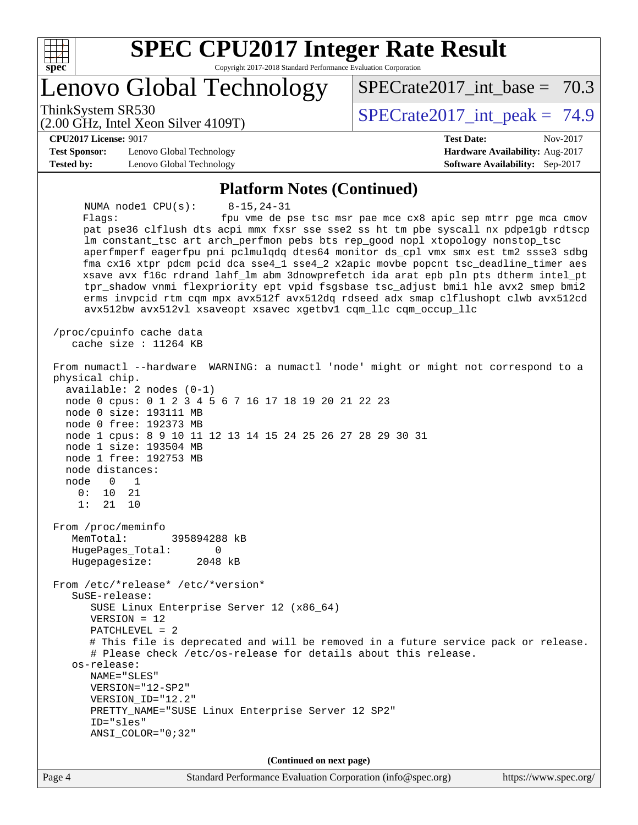

# **[SPEC CPU2017 Integer Rate Result](http://www.spec.org/auto/cpu2017/Docs/result-fields.html#SPECCPU2017IntegerRateResult)**

Copyright 2017-2018 Standard Performance Evaluation Corporation

Lenovo Global Technology

ThinkSystem SR530<br>  $S$ PECrate2017 int peak = 74.9

SPECrate2017 int\_base =  $70.3$ 

(2.00 GHz, Intel Xeon Silver 4109T)

**[CPU2017 License:](http://www.spec.org/auto/cpu2017/Docs/result-fields.html#CPU2017License)** 9017 **[Test Date:](http://www.spec.org/auto/cpu2017/Docs/result-fields.html#TestDate)** Nov-2017

**[Test Sponsor:](http://www.spec.org/auto/cpu2017/Docs/result-fields.html#TestSponsor)** Lenovo Global Technology **[Hardware Availability:](http://www.spec.org/auto/cpu2017/Docs/result-fields.html#HardwareAvailability)** Aug-2017 **[Tested by:](http://www.spec.org/auto/cpu2017/Docs/result-fields.html#Testedby)** Lenovo Global Technology **[Software Availability:](http://www.spec.org/auto/cpu2017/Docs/result-fields.html#SoftwareAvailability)** Sep-2017

#### **[Platform Notes \(Continued\)](http://www.spec.org/auto/cpu2017/Docs/result-fields.html#PlatformNotes)**

 NUMA node1 CPU(s): 8-15,24-31 Flags: fpu vme de pse tsc msr pae mce cx8 apic sep mtrr pge mca cmov pat pse36 clflush dts acpi mmx fxsr sse sse2 ss ht tm pbe syscall nx pdpe1gb rdtscp lm constant\_tsc art arch\_perfmon pebs bts rep\_good nopl xtopology nonstop\_tsc aperfmperf eagerfpu pni pclmulqdq dtes64 monitor ds\_cpl vmx smx est tm2 ssse3 sdbg fma cx16 xtpr pdcm pcid dca sse4\_1 sse4\_2 x2apic movbe popcnt tsc\_deadline\_timer aes xsave avx f16c rdrand lahf\_lm abm 3dnowprefetch ida arat epb pln pts dtherm intel\_pt tpr\_shadow vnmi flexpriority ept vpid fsgsbase tsc\_adjust bmi1 hle avx2 smep bmi2 erms invpcid rtm cqm mpx avx512f avx512dq rdseed adx smap clflushopt clwb avx512cd avx512bw avx512vl xsaveopt xsavec xgetbv1 cqm\_llc cqm\_occup\_llc /proc/cpuinfo cache data cache size : 11264 KB From numactl --hardware WARNING: a numactl 'node' might or might not correspond to a physical chip. available: 2 nodes (0-1) node 0 cpus: 0 1 2 3 4 5 6 7 16 17 18 19 20 21 22 23 node 0 size: 193111 MB node 0 free: 192373 MB node 1 cpus: 8 9 10 11 12 13 14 15 24 25 26 27 28 29 30 31 node 1 size: 193504 MB node 1 free: 192753 MB node distances: node 0 1 0: 10 21 1: 21 10 From /proc/meminfo MemTotal: 395894288 kB HugePages\_Total: 0<br>Hugepagesize: 2048 kB Hugepagesize: From /etc/\*release\* /etc/\*version\* SuSE-release: SUSE Linux Enterprise Server 12 (x86\_64) VERSION = 12 PATCHLEVEL = 2 # This file is deprecated and will be removed in a future service pack or release. # Please check /etc/os-release for details about this release. os-release: NAME="SLES" VERSION="12-SP2" VERSION\_ID="12.2" PRETTY\_NAME="SUSE Linux Enterprise Server 12 SP2" ID="sles" ANSI\_COLOR="0;32" **(Continued on next page)**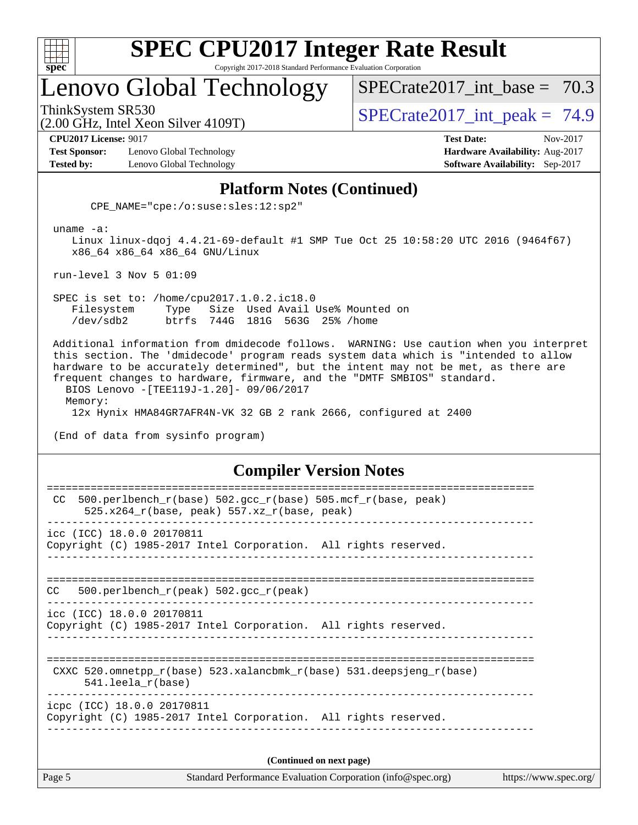

## Lenovo Global Technology

SPECrate2017 int\_base =  $70.3$ 

(2.00 GHz, Intel Xeon Silver 4109T)

ThinkSystem SR530<br>  $S$ PECrate2017 int peak = 74.9

**[CPU2017 License:](http://www.spec.org/auto/cpu2017/Docs/result-fields.html#CPU2017License)** 9017 **[Test Date:](http://www.spec.org/auto/cpu2017/Docs/result-fields.html#TestDate)** Nov-2017

**[Test Sponsor:](http://www.spec.org/auto/cpu2017/Docs/result-fields.html#TestSponsor)** Lenovo Global Technology **[Hardware Availability:](http://www.spec.org/auto/cpu2017/Docs/result-fields.html#HardwareAvailability)** Aug-2017 **[Tested by:](http://www.spec.org/auto/cpu2017/Docs/result-fields.html#Testedby)** Lenovo Global Technology **[Software Availability:](http://www.spec.org/auto/cpu2017/Docs/result-fields.html#SoftwareAvailability)** Sep-2017

#### **[Platform Notes \(Continued\)](http://www.spec.org/auto/cpu2017/Docs/result-fields.html#PlatformNotes)**

CPE\_NAME="cpe:/o:suse:sles:12:sp2"

uname -a:

 Linux linux-dqoj 4.4.21-69-default #1 SMP Tue Oct 25 10:58:20 UTC 2016 (9464f67) x86\_64 x86\_64 x86\_64 GNU/Linux

run-level 3 Nov 5 01:09

 SPEC is set to: /home/cpu2017.1.0.2.ic18.0 Filesystem Type Size Used Avail Use% Mounted on /dev/sdb2 btrfs 744G 181G 563G 25% /home

 Additional information from dmidecode follows. WARNING: Use caution when you interpret this section. The 'dmidecode' program reads system data which is "intended to allow hardware to be accurately determined", but the intent may not be met, as there are frequent changes to hardware, firmware, and the "DMTF SMBIOS" standard. BIOS Lenovo -[TEE119J-1.20]- 09/06/2017 Memory: 12x Hynix HMA84GR7AFR4N-VK 32 GB 2 rank 2666, configured at 2400

(End of data from sysinfo program)

#### **[Compiler Version Notes](http://www.spec.org/auto/cpu2017/Docs/result-fields.html#CompilerVersionNotes)**

| Page 5 | Standard Performance Evaluation Corporation (info@spec.org)                                                    | https://www.spec.org/ |
|--------|----------------------------------------------------------------------------------------------------------------|-----------------------|
|        | (Continued on next page)                                                                                       |                       |
|        | icpc (ICC) 18.0.0 20170811<br>Copyright (C) 1985-2017 Intel Corporation. All rights reserved.                  |                       |
|        | CXXC 520.omnetpp $r(base)$ 523.xalancbmk $r(base)$ 531.deepsjeng $r(base)$<br>$541.$ leela r(base)             |                       |
|        | icc (ICC) 18.0.0 20170811<br>Copyright (C) 1985-2017 Intel Corporation. All rights reserved.                   |                       |
| CC.    | 500.perlbench $r(\text{peak})$ 502.gcc $r(\text{peak})$                                                        |                       |
|        | icc (ICC) 18.0.0 20170811<br>Copyright (C) 1985-2017 Intel Corporation. All rights reserved.                   |                       |
| CC.    | 500.perlbench_r(base) 502.gcc_r(base) 505.mcf_r(base, peak)<br>525.x264 $r(base, peak)$ 557.xz $r(base, peak)$ |                       |
|        |                                                                                                                |                       |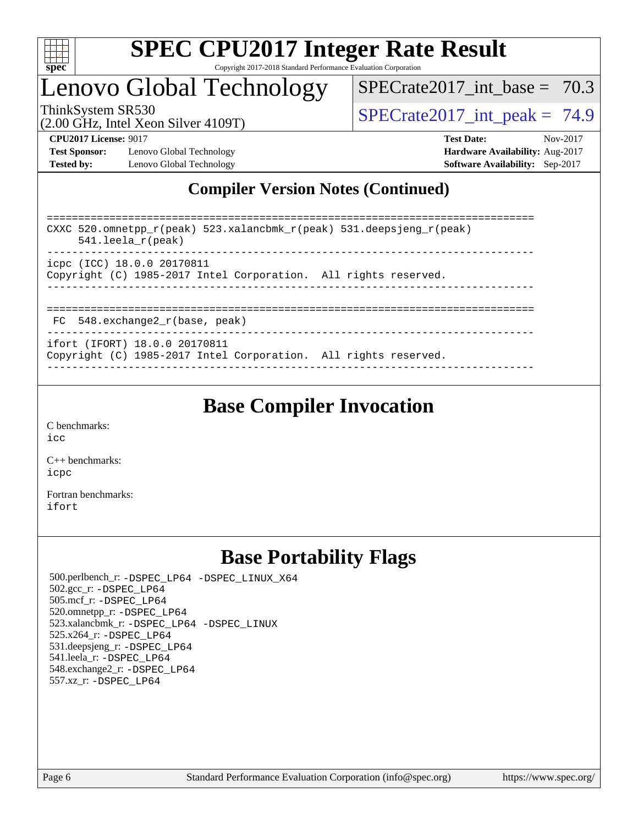

## Lenovo Global Technology

SPECrate2017 int\_base =  $70.3$ 

(2.00 GHz, Intel Xeon Silver 4109T)

ThinkSystem SR530  $SPIz$  Interval Section 4100T)  $SPECTa te2017$  int peak = 74.9

**[Test Sponsor:](http://www.spec.org/auto/cpu2017/Docs/result-fields.html#TestSponsor)** Lenovo Global Technology **[Hardware Availability:](http://www.spec.org/auto/cpu2017/Docs/result-fields.html#HardwareAvailability)** Aug-2017 **[Tested by:](http://www.spec.org/auto/cpu2017/Docs/result-fields.html#Testedby)** Lenovo Global Technology **[Software Availability:](http://www.spec.org/auto/cpu2017/Docs/result-fields.html#SoftwareAvailability)** Sep-2017

**[CPU2017 License:](http://www.spec.org/auto/cpu2017/Docs/result-fields.html#CPU2017License)** 9017 **[Test Date:](http://www.spec.org/auto/cpu2017/Docs/result-fields.html#TestDate)** Nov-2017

### **[Compiler Version Notes \(Continued\)](http://www.spec.org/auto/cpu2017/Docs/result-fields.html#CompilerVersionNotes)**

============================================================================== CXXC 520.omnetpp\_r(peak) 523.xalancbmk\_r(peak) 531.deepsjeng\_r(peak) 541.leela\_r(peak) ----------------------------------------------------------------------------- icpc (ICC) 18.0.0 20170811 Copyright (C) 1985-2017 Intel Corporation. All rights reserved. ------------------------------------------------------------------------------ ============================================================================== FC 548.exchange2\_r(base, peak) ----------------------------------------------------------------------------- ifort (IFORT) 18.0.0 20170811

Copyright (C) 1985-2017 Intel Corporation. All rights reserved. ------------------------------------------------------------------------------

## **[Base Compiler Invocation](http://www.spec.org/auto/cpu2017/Docs/result-fields.html#BaseCompilerInvocation)**

[C benchmarks](http://www.spec.org/auto/cpu2017/Docs/result-fields.html#Cbenchmarks): [icc](http://www.spec.org/cpu2017/results/res2017q4/cpu2017-20171113-00548.flags.html#user_CCbase_intel_icc_18.0_66fc1ee009f7361af1fbd72ca7dcefbb700085f36577c54f309893dd4ec40d12360134090235512931783d35fd58c0460139e722d5067c5574d8eaf2b3e37e92)

[C++ benchmarks:](http://www.spec.org/auto/cpu2017/Docs/result-fields.html#CXXbenchmarks) [icpc](http://www.spec.org/cpu2017/results/res2017q4/cpu2017-20171113-00548.flags.html#user_CXXbase_intel_icpc_18.0_c510b6838c7f56d33e37e94d029a35b4a7bccf4766a728ee175e80a419847e808290a9b78be685c44ab727ea267ec2f070ec5dc83b407c0218cded6866a35d07)

[Fortran benchmarks](http://www.spec.org/auto/cpu2017/Docs/result-fields.html#Fortranbenchmarks): [ifort](http://www.spec.org/cpu2017/results/res2017q4/cpu2017-20171113-00548.flags.html#user_FCbase_intel_ifort_18.0_8111460550e3ca792625aed983ce982f94888b8b503583aa7ba2b8303487b4d8a21a13e7191a45c5fd58ff318f48f9492884d4413fa793fd88dd292cad7027ca)

## **[Base Portability Flags](http://www.spec.org/auto/cpu2017/Docs/result-fields.html#BasePortabilityFlags)**

 500.perlbench\_r: [-DSPEC\\_LP64](http://www.spec.org/cpu2017/results/res2017q4/cpu2017-20171113-00548.flags.html#b500.perlbench_r_basePORTABILITY_DSPEC_LP64) [-DSPEC\\_LINUX\\_X64](http://www.spec.org/cpu2017/results/res2017q4/cpu2017-20171113-00548.flags.html#b500.perlbench_r_baseCPORTABILITY_DSPEC_LINUX_X64) 502.gcc\_r: [-DSPEC\\_LP64](http://www.spec.org/cpu2017/results/res2017q4/cpu2017-20171113-00548.flags.html#suite_basePORTABILITY502_gcc_r_DSPEC_LP64) 505.mcf\_r: [-DSPEC\\_LP64](http://www.spec.org/cpu2017/results/res2017q4/cpu2017-20171113-00548.flags.html#suite_basePORTABILITY505_mcf_r_DSPEC_LP64) 520.omnetpp\_r: [-DSPEC\\_LP64](http://www.spec.org/cpu2017/results/res2017q4/cpu2017-20171113-00548.flags.html#suite_basePORTABILITY520_omnetpp_r_DSPEC_LP64) 523.xalancbmk\_r: [-DSPEC\\_LP64](http://www.spec.org/cpu2017/results/res2017q4/cpu2017-20171113-00548.flags.html#suite_basePORTABILITY523_xalancbmk_r_DSPEC_LP64) [-DSPEC\\_LINUX](http://www.spec.org/cpu2017/results/res2017q4/cpu2017-20171113-00548.flags.html#b523.xalancbmk_r_baseCXXPORTABILITY_DSPEC_LINUX) 525.x264\_r: [-DSPEC\\_LP64](http://www.spec.org/cpu2017/results/res2017q4/cpu2017-20171113-00548.flags.html#suite_basePORTABILITY525_x264_r_DSPEC_LP64) 531.deepsjeng\_r: [-DSPEC\\_LP64](http://www.spec.org/cpu2017/results/res2017q4/cpu2017-20171113-00548.flags.html#suite_basePORTABILITY531_deepsjeng_r_DSPEC_LP64) 541.leela\_r: [-DSPEC\\_LP64](http://www.spec.org/cpu2017/results/res2017q4/cpu2017-20171113-00548.flags.html#suite_basePORTABILITY541_leela_r_DSPEC_LP64) 548.exchange2\_r: [-DSPEC\\_LP64](http://www.spec.org/cpu2017/results/res2017q4/cpu2017-20171113-00548.flags.html#suite_basePORTABILITY548_exchange2_r_DSPEC_LP64) 557.xz\_r: [-DSPEC\\_LP64](http://www.spec.org/cpu2017/results/res2017q4/cpu2017-20171113-00548.flags.html#suite_basePORTABILITY557_xz_r_DSPEC_LP64)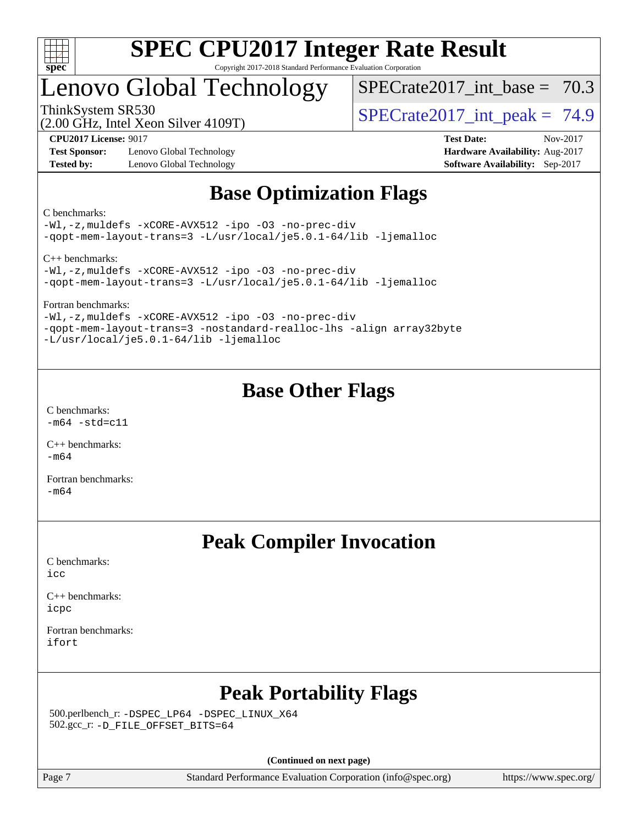

## Lenovo Global Technology

SPECrate2017 int\_base =  $70.3$ 

(2.00 GHz, Intel Xeon Silver 4109T)

ThinkSystem SR530<br>  $S$ PECrate2017 int peak = 74.9

**[Test Sponsor:](http://www.spec.org/auto/cpu2017/Docs/result-fields.html#TestSponsor)** Lenovo Global Technology **[Hardware Availability:](http://www.spec.org/auto/cpu2017/Docs/result-fields.html#HardwareAvailability)** Aug-2017 **[Tested by:](http://www.spec.org/auto/cpu2017/Docs/result-fields.html#Testedby)** Lenovo Global Technology **[Software Availability:](http://www.spec.org/auto/cpu2017/Docs/result-fields.html#SoftwareAvailability)** Sep-2017

**[CPU2017 License:](http://www.spec.org/auto/cpu2017/Docs/result-fields.html#CPU2017License)** 9017 **[Test Date:](http://www.spec.org/auto/cpu2017/Docs/result-fields.html#TestDate)** Nov-2017

## **[Base Optimization Flags](http://www.spec.org/auto/cpu2017/Docs/result-fields.html#BaseOptimizationFlags)**

[C benchmarks](http://www.spec.org/auto/cpu2017/Docs/result-fields.html#Cbenchmarks):

[-Wl,-z,muldefs](http://www.spec.org/cpu2017/results/res2017q4/cpu2017-20171113-00548.flags.html#user_CCbase_link_force_multiple1_b4cbdb97b34bdee9ceefcfe54f4c8ea74255f0b02a4b23e853cdb0e18eb4525ac79b5a88067c842dd0ee6996c24547a27a4b99331201badda8798ef8a743f577) [-xCORE-AVX512](http://www.spec.org/cpu2017/results/res2017q4/cpu2017-20171113-00548.flags.html#user_CCbase_f-xCORE-AVX512) [-ipo](http://www.spec.org/cpu2017/results/res2017q4/cpu2017-20171113-00548.flags.html#user_CCbase_f-ipo) [-O3](http://www.spec.org/cpu2017/results/res2017q4/cpu2017-20171113-00548.flags.html#user_CCbase_f-O3) [-no-prec-div](http://www.spec.org/cpu2017/results/res2017q4/cpu2017-20171113-00548.flags.html#user_CCbase_f-no-prec-div) [-qopt-mem-layout-trans=3](http://www.spec.org/cpu2017/results/res2017q4/cpu2017-20171113-00548.flags.html#user_CCbase_f-qopt-mem-layout-trans_de80db37974c74b1f0e20d883f0b675c88c3b01e9d123adea9b28688d64333345fb62bc4a798493513fdb68f60282f9a726aa07f478b2f7113531aecce732043) [-L/usr/local/je5.0.1-64/lib](http://www.spec.org/cpu2017/results/res2017q4/cpu2017-20171113-00548.flags.html#user_CCbase_jemalloc_link_path64_4b10a636b7bce113509b17f3bd0d6226c5fb2346b9178c2d0232c14f04ab830f976640479e5c33dc2bcbbdad86ecfb6634cbbd4418746f06f368b512fced5394) [-ljemalloc](http://www.spec.org/cpu2017/results/res2017q4/cpu2017-20171113-00548.flags.html#user_CCbase_jemalloc_link_lib_d1249b907c500fa1c0672f44f562e3d0f79738ae9e3c4a9c376d49f265a04b9c99b167ecedbf6711b3085be911c67ff61f150a17b3472be731631ba4d0471706)

[C++ benchmarks](http://www.spec.org/auto/cpu2017/Docs/result-fields.html#CXXbenchmarks):

[-Wl,-z,muldefs](http://www.spec.org/cpu2017/results/res2017q4/cpu2017-20171113-00548.flags.html#user_CXXbase_link_force_multiple1_b4cbdb97b34bdee9ceefcfe54f4c8ea74255f0b02a4b23e853cdb0e18eb4525ac79b5a88067c842dd0ee6996c24547a27a4b99331201badda8798ef8a743f577) [-xCORE-AVX512](http://www.spec.org/cpu2017/results/res2017q4/cpu2017-20171113-00548.flags.html#user_CXXbase_f-xCORE-AVX512) [-ipo](http://www.spec.org/cpu2017/results/res2017q4/cpu2017-20171113-00548.flags.html#user_CXXbase_f-ipo) [-O3](http://www.spec.org/cpu2017/results/res2017q4/cpu2017-20171113-00548.flags.html#user_CXXbase_f-O3) [-no-prec-div](http://www.spec.org/cpu2017/results/res2017q4/cpu2017-20171113-00548.flags.html#user_CXXbase_f-no-prec-div) [-qopt-mem-layout-trans=3](http://www.spec.org/cpu2017/results/res2017q4/cpu2017-20171113-00548.flags.html#user_CXXbase_f-qopt-mem-layout-trans_de80db37974c74b1f0e20d883f0b675c88c3b01e9d123adea9b28688d64333345fb62bc4a798493513fdb68f60282f9a726aa07f478b2f7113531aecce732043) [-L/usr/local/je5.0.1-64/lib](http://www.spec.org/cpu2017/results/res2017q4/cpu2017-20171113-00548.flags.html#user_CXXbase_jemalloc_link_path64_4b10a636b7bce113509b17f3bd0d6226c5fb2346b9178c2d0232c14f04ab830f976640479e5c33dc2bcbbdad86ecfb6634cbbd4418746f06f368b512fced5394) [-ljemalloc](http://www.spec.org/cpu2017/results/res2017q4/cpu2017-20171113-00548.flags.html#user_CXXbase_jemalloc_link_lib_d1249b907c500fa1c0672f44f562e3d0f79738ae9e3c4a9c376d49f265a04b9c99b167ecedbf6711b3085be911c67ff61f150a17b3472be731631ba4d0471706)

[Fortran benchmarks:](http://www.spec.org/auto/cpu2017/Docs/result-fields.html#Fortranbenchmarks)

[-Wl,-z,muldefs](http://www.spec.org/cpu2017/results/res2017q4/cpu2017-20171113-00548.flags.html#user_FCbase_link_force_multiple1_b4cbdb97b34bdee9ceefcfe54f4c8ea74255f0b02a4b23e853cdb0e18eb4525ac79b5a88067c842dd0ee6996c24547a27a4b99331201badda8798ef8a743f577) [-xCORE-AVX512](http://www.spec.org/cpu2017/results/res2017q4/cpu2017-20171113-00548.flags.html#user_FCbase_f-xCORE-AVX512) [-ipo](http://www.spec.org/cpu2017/results/res2017q4/cpu2017-20171113-00548.flags.html#user_FCbase_f-ipo) [-O3](http://www.spec.org/cpu2017/results/res2017q4/cpu2017-20171113-00548.flags.html#user_FCbase_f-O3) [-no-prec-div](http://www.spec.org/cpu2017/results/res2017q4/cpu2017-20171113-00548.flags.html#user_FCbase_f-no-prec-div) [-qopt-mem-layout-trans=3](http://www.spec.org/cpu2017/results/res2017q4/cpu2017-20171113-00548.flags.html#user_FCbase_f-qopt-mem-layout-trans_de80db37974c74b1f0e20d883f0b675c88c3b01e9d123adea9b28688d64333345fb62bc4a798493513fdb68f60282f9a726aa07f478b2f7113531aecce732043) [-nostandard-realloc-lhs](http://www.spec.org/cpu2017/results/res2017q4/cpu2017-20171113-00548.flags.html#user_FCbase_f_2003_std_realloc_82b4557e90729c0f113870c07e44d33d6f5a304b4f63d4c15d2d0f1fab99f5daaed73bdb9275d9ae411527f28b936061aa8b9c8f2d63842963b95c9dd6426b8a) [-align array32byte](http://www.spec.org/cpu2017/results/res2017q4/cpu2017-20171113-00548.flags.html#user_FCbase_align_array32byte_b982fe038af199962ba9a80c053b8342c548c85b40b8e86eb3cc33dee0d7986a4af373ac2d51c3f7cf710a18d62fdce2948f201cd044323541f22fc0fffc51b6) [-L/usr/local/je5.0.1-64/lib](http://www.spec.org/cpu2017/results/res2017q4/cpu2017-20171113-00548.flags.html#user_FCbase_jemalloc_link_path64_4b10a636b7bce113509b17f3bd0d6226c5fb2346b9178c2d0232c14f04ab830f976640479e5c33dc2bcbbdad86ecfb6634cbbd4418746f06f368b512fced5394) [-ljemalloc](http://www.spec.org/cpu2017/results/res2017q4/cpu2017-20171113-00548.flags.html#user_FCbase_jemalloc_link_lib_d1249b907c500fa1c0672f44f562e3d0f79738ae9e3c4a9c376d49f265a04b9c99b167ecedbf6711b3085be911c67ff61f150a17b3472be731631ba4d0471706)

## **[Base Other Flags](http://www.spec.org/auto/cpu2017/Docs/result-fields.html#BaseOtherFlags)**

[C benchmarks](http://www.spec.org/auto/cpu2017/Docs/result-fields.html#Cbenchmarks):  $-m64 - std= c11$  $-m64 - std= c11$ 

[C++ benchmarks:](http://www.spec.org/auto/cpu2017/Docs/result-fields.html#CXXbenchmarks) [-m64](http://www.spec.org/cpu2017/results/res2017q4/cpu2017-20171113-00548.flags.html#user_CXXbase_intel_intel64_18.0_af43caccfc8ded86e7699f2159af6efc7655f51387b94da716254467f3c01020a5059329e2569e4053f409e7c9202a7efc638f7a6d1ffb3f52dea4a3e31d82ab)

[Fortran benchmarks](http://www.spec.org/auto/cpu2017/Docs/result-fields.html#Fortranbenchmarks): [-m64](http://www.spec.org/cpu2017/results/res2017q4/cpu2017-20171113-00548.flags.html#user_FCbase_intel_intel64_18.0_af43caccfc8ded86e7699f2159af6efc7655f51387b94da716254467f3c01020a5059329e2569e4053f409e7c9202a7efc638f7a6d1ffb3f52dea4a3e31d82ab)

## **[Peak Compiler Invocation](http://www.spec.org/auto/cpu2017/Docs/result-fields.html#PeakCompilerInvocation)**

[C benchmarks](http://www.spec.org/auto/cpu2017/Docs/result-fields.html#Cbenchmarks): [icc](http://www.spec.org/cpu2017/results/res2017q4/cpu2017-20171113-00548.flags.html#user_CCpeak_intel_icc_18.0_66fc1ee009f7361af1fbd72ca7dcefbb700085f36577c54f309893dd4ec40d12360134090235512931783d35fd58c0460139e722d5067c5574d8eaf2b3e37e92)

[C++ benchmarks:](http://www.spec.org/auto/cpu2017/Docs/result-fields.html#CXXbenchmarks) [icpc](http://www.spec.org/cpu2017/results/res2017q4/cpu2017-20171113-00548.flags.html#user_CXXpeak_intel_icpc_18.0_c510b6838c7f56d33e37e94d029a35b4a7bccf4766a728ee175e80a419847e808290a9b78be685c44ab727ea267ec2f070ec5dc83b407c0218cded6866a35d07)

[Fortran benchmarks](http://www.spec.org/auto/cpu2017/Docs/result-fields.html#Fortranbenchmarks): [ifort](http://www.spec.org/cpu2017/results/res2017q4/cpu2017-20171113-00548.flags.html#user_FCpeak_intel_ifort_18.0_8111460550e3ca792625aed983ce982f94888b8b503583aa7ba2b8303487b4d8a21a13e7191a45c5fd58ff318f48f9492884d4413fa793fd88dd292cad7027ca)

## **[Peak Portability Flags](http://www.spec.org/auto/cpu2017/Docs/result-fields.html#PeakPortabilityFlags)**

 500.perlbench\_r: [-DSPEC\\_LP64](http://www.spec.org/cpu2017/results/res2017q4/cpu2017-20171113-00548.flags.html#b500.perlbench_r_peakPORTABILITY_DSPEC_LP64) [-DSPEC\\_LINUX\\_X64](http://www.spec.org/cpu2017/results/res2017q4/cpu2017-20171113-00548.flags.html#b500.perlbench_r_peakCPORTABILITY_DSPEC_LINUX_X64) 502.gcc\_r: [-D\\_FILE\\_OFFSET\\_BITS=64](http://www.spec.org/cpu2017/results/res2017q4/cpu2017-20171113-00548.flags.html#user_peakPORTABILITY502_gcc_r_file_offset_bits_64_5ae949a99b284ddf4e95728d47cb0843d81b2eb0e18bdfe74bbf0f61d0b064f4bda2f10ea5eb90e1dcab0e84dbc592acfc5018bc955c18609f94ddb8d550002c)

**(Continued on next page)**

Page 7 Standard Performance Evaluation Corporation [\(info@spec.org\)](mailto:info@spec.org) <https://www.spec.org/>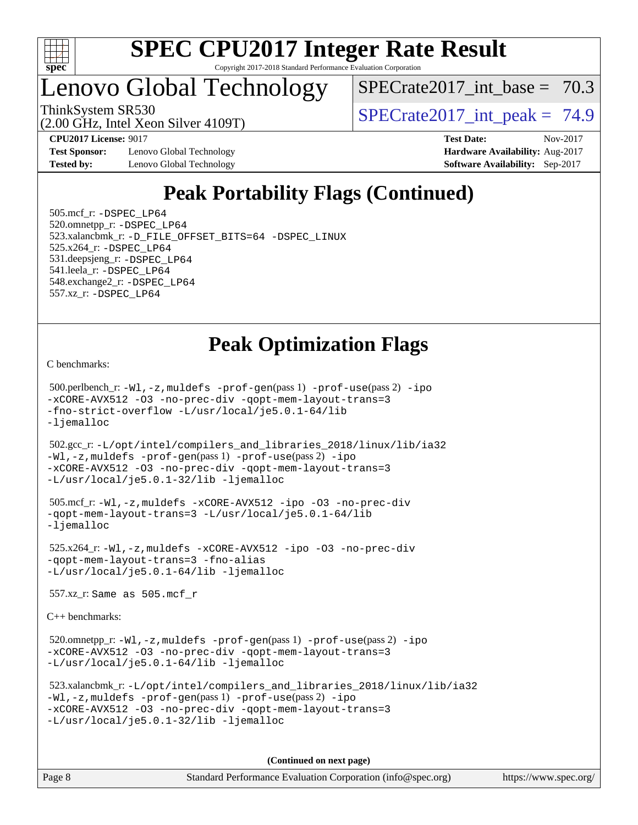

## Lenovo Global Technology

SPECrate2017 int\_base =  $70.3$ 

(2.00 GHz, Intel Xeon Silver 4109T)

ThinkSystem SR530  $SPIz$  Interval Section 4100T)  $SPECTa te2017$  int peak = 74.9

**[Test Sponsor:](http://www.spec.org/auto/cpu2017/Docs/result-fields.html#TestSponsor)** Lenovo Global Technology **[Hardware Availability:](http://www.spec.org/auto/cpu2017/Docs/result-fields.html#HardwareAvailability)** Aug-2017 **[Tested by:](http://www.spec.org/auto/cpu2017/Docs/result-fields.html#Testedby)** Lenovo Global Technology **[Software Availability:](http://www.spec.org/auto/cpu2017/Docs/result-fields.html#SoftwareAvailability)** Sep-2017

**[CPU2017 License:](http://www.spec.org/auto/cpu2017/Docs/result-fields.html#CPU2017License)** 9017 **[Test Date:](http://www.spec.org/auto/cpu2017/Docs/result-fields.html#TestDate)** Nov-2017

## **[Peak Portability Flags \(Continued\)](http://www.spec.org/auto/cpu2017/Docs/result-fields.html#PeakPortabilityFlags)**

 505.mcf\_r: [-DSPEC\\_LP64](http://www.spec.org/cpu2017/results/res2017q4/cpu2017-20171113-00548.flags.html#suite_peakPORTABILITY505_mcf_r_DSPEC_LP64) 520.omnetpp\_r: [-DSPEC\\_LP64](http://www.spec.org/cpu2017/results/res2017q4/cpu2017-20171113-00548.flags.html#suite_peakPORTABILITY520_omnetpp_r_DSPEC_LP64) 523.xalancbmk\_r: [-D\\_FILE\\_OFFSET\\_BITS=64](http://www.spec.org/cpu2017/results/res2017q4/cpu2017-20171113-00548.flags.html#user_peakPORTABILITY523_xalancbmk_r_file_offset_bits_64_5ae949a99b284ddf4e95728d47cb0843d81b2eb0e18bdfe74bbf0f61d0b064f4bda2f10ea5eb90e1dcab0e84dbc592acfc5018bc955c18609f94ddb8d550002c) [-DSPEC\\_LINUX](http://www.spec.org/cpu2017/results/res2017q4/cpu2017-20171113-00548.flags.html#b523.xalancbmk_r_peakCXXPORTABILITY_DSPEC_LINUX) 525.x264\_r: [-DSPEC\\_LP64](http://www.spec.org/cpu2017/results/res2017q4/cpu2017-20171113-00548.flags.html#suite_peakPORTABILITY525_x264_r_DSPEC_LP64) 531.deepsjeng\_r: [-DSPEC\\_LP64](http://www.spec.org/cpu2017/results/res2017q4/cpu2017-20171113-00548.flags.html#suite_peakPORTABILITY531_deepsjeng_r_DSPEC_LP64) 541.leela\_r: [-DSPEC\\_LP64](http://www.spec.org/cpu2017/results/res2017q4/cpu2017-20171113-00548.flags.html#suite_peakPORTABILITY541_leela_r_DSPEC_LP64) 548.exchange2\_r: [-DSPEC\\_LP64](http://www.spec.org/cpu2017/results/res2017q4/cpu2017-20171113-00548.flags.html#suite_peakPORTABILITY548_exchange2_r_DSPEC_LP64) 557.xz\_r: [-DSPEC\\_LP64](http://www.spec.org/cpu2017/results/res2017q4/cpu2017-20171113-00548.flags.html#suite_peakPORTABILITY557_xz_r_DSPEC_LP64)

## **[Peak Optimization Flags](http://www.spec.org/auto/cpu2017/Docs/result-fields.html#PeakOptimizationFlags)**

[C benchmarks](http://www.spec.org/auto/cpu2017/Docs/result-fields.html#Cbenchmarks):

 500.perlbench\_r: [-Wl,-z,muldefs](http://www.spec.org/cpu2017/results/res2017q4/cpu2017-20171113-00548.flags.html#user_peakEXTRA_LDFLAGS500_perlbench_r_link_force_multiple1_b4cbdb97b34bdee9ceefcfe54f4c8ea74255f0b02a4b23e853cdb0e18eb4525ac79b5a88067c842dd0ee6996c24547a27a4b99331201badda8798ef8a743f577) [-prof-gen](http://www.spec.org/cpu2017/results/res2017q4/cpu2017-20171113-00548.flags.html#user_peakPASS1_CFLAGSPASS1_LDFLAGS500_perlbench_r_prof_gen_5aa4926d6013ddb2a31985c654b3eb18169fc0c6952a63635c234f711e6e63dd76e94ad52365559451ec499a2cdb89e4dc58ba4c67ef54ca681ffbe1461d6b36)(pass 1) [-prof-use](http://www.spec.org/cpu2017/results/res2017q4/cpu2017-20171113-00548.flags.html#user_peakPASS2_CFLAGSPASS2_LDFLAGS500_perlbench_r_prof_use_1a21ceae95f36a2b53c25747139a6c16ca95bd9def2a207b4f0849963b97e94f5260e30a0c64f4bb623698870e679ca08317ef8150905d41bd88c6f78df73f19)(pass 2) [-ipo](http://www.spec.org/cpu2017/results/res2017q4/cpu2017-20171113-00548.flags.html#user_peakPASS1_COPTIMIZEPASS2_COPTIMIZE500_perlbench_r_f-ipo) [-xCORE-AVX512](http://www.spec.org/cpu2017/results/res2017q4/cpu2017-20171113-00548.flags.html#user_peakPASS2_COPTIMIZE500_perlbench_r_f-xCORE-AVX512) [-O3](http://www.spec.org/cpu2017/results/res2017q4/cpu2017-20171113-00548.flags.html#user_peakPASS1_COPTIMIZEPASS2_COPTIMIZE500_perlbench_r_f-O3) [-no-prec-div](http://www.spec.org/cpu2017/results/res2017q4/cpu2017-20171113-00548.flags.html#user_peakPASS1_COPTIMIZEPASS2_COPTIMIZE500_perlbench_r_f-no-prec-div) [-qopt-mem-layout-trans=3](http://www.spec.org/cpu2017/results/res2017q4/cpu2017-20171113-00548.flags.html#user_peakPASS1_COPTIMIZEPASS2_COPTIMIZE500_perlbench_r_f-qopt-mem-layout-trans_de80db37974c74b1f0e20d883f0b675c88c3b01e9d123adea9b28688d64333345fb62bc4a798493513fdb68f60282f9a726aa07f478b2f7113531aecce732043) [-fno-strict-overflow](http://www.spec.org/cpu2017/results/res2017q4/cpu2017-20171113-00548.flags.html#user_peakEXTRA_OPTIMIZE500_perlbench_r_f-fno-strict-overflow) [-L/usr/local/je5.0.1-64/lib](http://www.spec.org/cpu2017/results/res2017q4/cpu2017-20171113-00548.flags.html#user_peakEXTRA_LIBS500_perlbench_r_jemalloc_link_path64_4b10a636b7bce113509b17f3bd0d6226c5fb2346b9178c2d0232c14f04ab830f976640479e5c33dc2bcbbdad86ecfb6634cbbd4418746f06f368b512fced5394) [-ljemalloc](http://www.spec.org/cpu2017/results/res2017q4/cpu2017-20171113-00548.flags.html#user_peakEXTRA_LIBS500_perlbench_r_jemalloc_link_lib_d1249b907c500fa1c0672f44f562e3d0f79738ae9e3c4a9c376d49f265a04b9c99b167ecedbf6711b3085be911c67ff61f150a17b3472be731631ba4d0471706)

 502.gcc\_r: [-L/opt/intel/compilers\\_and\\_libraries\\_2018/linux/lib/ia32](http://www.spec.org/cpu2017/results/res2017q4/cpu2017-20171113-00548.flags.html#user_peakCCLD502_gcc_r_Enable-32bit-runtime_af243bdb1d79e4c7a4f720bf8275e627de2ecd461de63307bc14cef0633fde3cd7bb2facb32dcc8be9566045fb55d40ce2b72b725f73827aa7833441b71b9343) [-Wl,-z,muldefs](http://www.spec.org/cpu2017/results/res2017q4/cpu2017-20171113-00548.flags.html#user_peakEXTRA_LDFLAGS502_gcc_r_link_force_multiple1_b4cbdb97b34bdee9ceefcfe54f4c8ea74255f0b02a4b23e853cdb0e18eb4525ac79b5a88067c842dd0ee6996c24547a27a4b99331201badda8798ef8a743f577) [-prof-gen](http://www.spec.org/cpu2017/results/res2017q4/cpu2017-20171113-00548.flags.html#user_peakPASS1_CFLAGSPASS1_LDFLAGS502_gcc_r_prof_gen_5aa4926d6013ddb2a31985c654b3eb18169fc0c6952a63635c234f711e6e63dd76e94ad52365559451ec499a2cdb89e4dc58ba4c67ef54ca681ffbe1461d6b36)(pass 1) [-prof-use](http://www.spec.org/cpu2017/results/res2017q4/cpu2017-20171113-00548.flags.html#user_peakPASS2_CFLAGSPASS2_LDFLAGS502_gcc_r_prof_use_1a21ceae95f36a2b53c25747139a6c16ca95bd9def2a207b4f0849963b97e94f5260e30a0c64f4bb623698870e679ca08317ef8150905d41bd88c6f78df73f19)(pass 2) [-ipo](http://www.spec.org/cpu2017/results/res2017q4/cpu2017-20171113-00548.flags.html#user_peakPASS1_COPTIMIZEPASS2_COPTIMIZE502_gcc_r_f-ipo) [-xCORE-AVX512](http://www.spec.org/cpu2017/results/res2017q4/cpu2017-20171113-00548.flags.html#user_peakPASS2_COPTIMIZE502_gcc_r_f-xCORE-AVX512) [-O3](http://www.spec.org/cpu2017/results/res2017q4/cpu2017-20171113-00548.flags.html#user_peakPASS1_COPTIMIZEPASS2_COPTIMIZE502_gcc_r_f-O3) [-no-prec-div](http://www.spec.org/cpu2017/results/res2017q4/cpu2017-20171113-00548.flags.html#user_peakPASS1_COPTIMIZEPASS2_COPTIMIZE502_gcc_r_f-no-prec-div) [-qopt-mem-layout-trans=3](http://www.spec.org/cpu2017/results/res2017q4/cpu2017-20171113-00548.flags.html#user_peakPASS1_COPTIMIZEPASS2_COPTIMIZE502_gcc_r_f-qopt-mem-layout-trans_de80db37974c74b1f0e20d883f0b675c88c3b01e9d123adea9b28688d64333345fb62bc4a798493513fdb68f60282f9a726aa07f478b2f7113531aecce732043) [-L/usr/local/je5.0.1-32/lib](http://www.spec.org/cpu2017/results/res2017q4/cpu2017-20171113-00548.flags.html#user_peakEXTRA_LIBS502_gcc_r_jemalloc_link_path32_e29f22e8e6c17053bbc6a0971f5a9c01a601a06bb1a59df2084b77a2fe0a2995b64fd4256feaeea39eeba3aae142e96e2b2b0a28974019c0c0c88139a84f900a) [-ljemalloc](http://www.spec.org/cpu2017/results/res2017q4/cpu2017-20171113-00548.flags.html#user_peakEXTRA_LIBS502_gcc_r_jemalloc_link_lib_d1249b907c500fa1c0672f44f562e3d0f79738ae9e3c4a9c376d49f265a04b9c99b167ecedbf6711b3085be911c67ff61f150a17b3472be731631ba4d0471706)

```
 505.mcf_r: -Wl,-z,muldefs -xCORE-AVX512 -ipo -O3 -no-prec-div
-qopt-mem-layout-trans=3 -L/usr/local/je5.0.1-64/lib
-ljemalloc
```
 525.x264\_r: [-Wl,-z,muldefs](http://www.spec.org/cpu2017/results/res2017q4/cpu2017-20171113-00548.flags.html#user_peakEXTRA_LDFLAGS525_x264_r_link_force_multiple1_b4cbdb97b34bdee9ceefcfe54f4c8ea74255f0b02a4b23e853cdb0e18eb4525ac79b5a88067c842dd0ee6996c24547a27a4b99331201badda8798ef8a743f577) [-xCORE-AVX512](http://www.spec.org/cpu2017/results/res2017q4/cpu2017-20171113-00548.flags.html#user_peakCOPTIMIZE525_x264_r_f-xCORE-AVX512) [-ipo](http://www.spec.org/cpu2017/results/res2017q4/cpu2017-20171113-00548.flags.html#user_peakCOPTIMIZE525_x264_r_f-ipo) [-O3](http://www.spec.org/cpu2017/results/res2017q4/cpu2017-20171113-00548.flags.html#user_peakCOPTIMIZE525_x264_r_f-O3) [-no-prec-div](http://www.spec.org/cpu2017/results/res2017q4/cpu2017-20171113-00548.flags.html#user_peakCOPTIMIZE525_x264_r_f-no-prec-div) [-qopt-mem-layout-trans=3](http://www.spec.org/cpu2017/results/res2017q4/cpu2017-20171113-00548.flags.html#user_peakCOPTIMIZE525_x264_r_f-qopt-mem-layout-trans_de80db37974c74b1f0e20d883f0b675c88c3b01e9d123adea9b28688d64333345fb62bc4a798493513fdb68f60282f9a726aa07f478b2f7113531aecce732043) [-fno-alias](http://www.spec.org/cpu2017/results/res2017q4/cpu2017-20171113-00548.flags.html#user_peakEXTRA_OPTIMIZE525_x264_r_f-no-alias_77dbac10d91cbfe898fbf4a29d1b29b694089caa623bdd1baccc9957d4edbe8d106c0b357e2748a65b44fc9e83d78098bb898077f3fe92f9faf24f7bd4a07ed7) [-L/usr/local/je5.0.1-64/lib](http://www.spec.org/cpu2017/results/res2017q4/cpu2017-20171113-00548.flags.html#user_peakEXTRA_LIBS525_x264_r_jemalloc_link_path64_4b10a636b7bce113509b17f3bd0d6226c5fb2346b9178c2d0232c14f04ab830f976640479e5c33dc2bcbbdad86ecfb6634cbbd4418746f06f368b512fced5394) [-ljemalloc](http://www.spec.org/cpu2017/results/res2017q4/cpu2017-20171113-00548.flags.html#user_peakEXTRA_LIBS525_x264_r_jemalloc_link_lib_d1249b907c500fa1c0672f44f562e3d0f79738ae9e3c4a9c376d49f265a04b9c99b167ecedbf6711b3085be911c67ff61f150a17b3472be731631ba4d0471706)

557.xz\_r: Same as 505.mcf\_r

[C++ benchmarks:](http://www.spec.org/auto/cpu2017/Docs/result-fields.html#CXXbenchmarks)

520.omnetpp\_r: $-Wl$ ,-z,muldefs -prof-qen(pass 1) [-prof-use](http://www.spec.org/cpu2017/results/res2017q4/cpu2017-20171113-00548.flags.html#user_peakPASS2_CXXFLAGSPASS2_LDFLAGS520_omnetpp_r_prof_use_1a21ceae95f36a2b53c25747139a6c16ca95bd9def2a207b4f0849963b97e94f5260e30a0c64f4bb623698870e679ca08317ef8150905d41bd88c6f78df73f19)(pass 2) [-ipo](http://www.spec.org/cpu2017/results/res2017q4/cpu2017-20171113-00548.flags.html#user_peakPASS1_CXXOPTIMIZEPASS2_CXXOPTIMIZE520_omnetpp_r_f-ipo) [-xCORE-AVX512](http://www.spec.org/cpu2017/results/res2017q4/cpu2017-20171113-00548.flags.html#user_peakPASS2_CXXOPTIMIZE520_omnetpp_r_f-xCORE-AVX512) [-O3](http://www.spec.org/cpu2017/results/res2017q4/cpu2017-20171113-00548.flags.html#user_peakPASS1_CXXOPTIMIZEPASS2_CXXOPTIMIZE520_omnetpp_r_f-O3) [-no-prec-div](http://www.spec.org/cpu2017/results/res2017q4/cpu2017-20171113-00548.flags.html#user_peakPASS1_CXXOPTIMIZEPASS2_CXXOPTIMIZE520_omnetpp_r_f-no-prec-div) [-qopt-mem-layout-trans=3](http://www.spec.org/cpu2017/results/res2017q4/cpu2017-20171113-00548.flags.html#user_peakPASS1_CXXOPTIMIZEPASS2_CXXOPTIMIZE520_omnetpp_r_f-qopt-mem-layout-trans_de80db37974c74b1f0e20d883f0b675c88c3b01e9d123adea9b28688d64333345fb62bc4a798493513fdb68f60282f9a726aa07f478b2f7113531aecce732043) [-L/usr/local/je5.0.1-64/lib](http://www.spec.org/cpu2017/results/res2017q4/cpu2017-20171113-00548.flags.html#user_peakEXTRA_LIBS520_omnetpp_r_jemalloc_link_path64_4b10a636b7bce113509b17f3bd0d6226c5fb2346b9178c2d0232c14f04ab830f976640479e5c33dc2bcbbdad86ecfb6634cbbd4418746f06f368b512fced5394) [-ljemalloc](http://www.spec.org/cpu2017/results/res2017q4/cpu2017-20171113-00548.flags.html#user_peakEXTRA_LIBS520_omnetpp_r_jemalloc_link_lib_d1249b907c500fa1c0672f44f562e3d0f79738ae9e3c4a9c376d49f265a04b9c99b167ecedbf6711b3085be911c67ff61f150a17b3472be731631ba4d0471706)

```
 523.xalancbmk_r: -L/opt/intel/compilers_and_libraries_2018/linux/lib/ia32
-Wl,-z,muldefs -prof-gen(pass 1) -prof-use(pass 2) -ipo
-xCORE-AVX512 -O3 -no-prec-div -qopt-mem-layout-trans=3
-L/usr/local/je5.0.1-32/lib -ljemalloc
```
**(Continued on next page)**